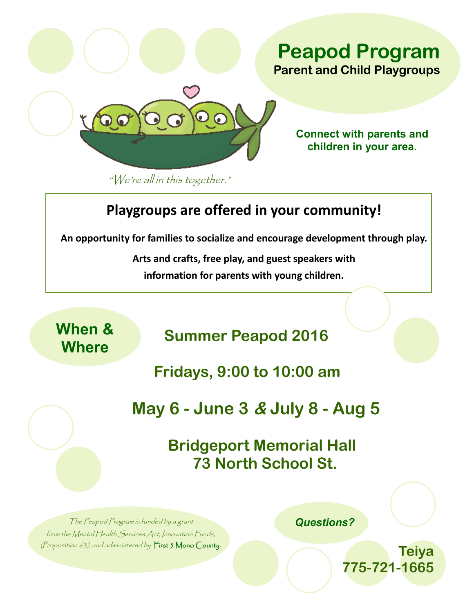

**Connect with parents and children in your area.**

"We're all in this together."

## **Playgroups are offered in your community!**

**An opportunity for families to socialize and encourage development through play.**

**Arts and crafts, free play, and guest speakers with information for parents with young children.** 

**When &** 

**Where Summer Peapod 2016** 

**Fridays, 9:00 to 10:00 am**

**May 6 - June 3 & July 8 - Aug 5**

**Bridgeport Memorial Hall 73 North School St.** 

The Peapod Program is funded by a grant from the Mental Health Services Act, Innovation Funds, (Proposition 63), and administered by  $\Box$  irst 5 Mono County.  *Questions?*

**Teiya 775-721-1665**